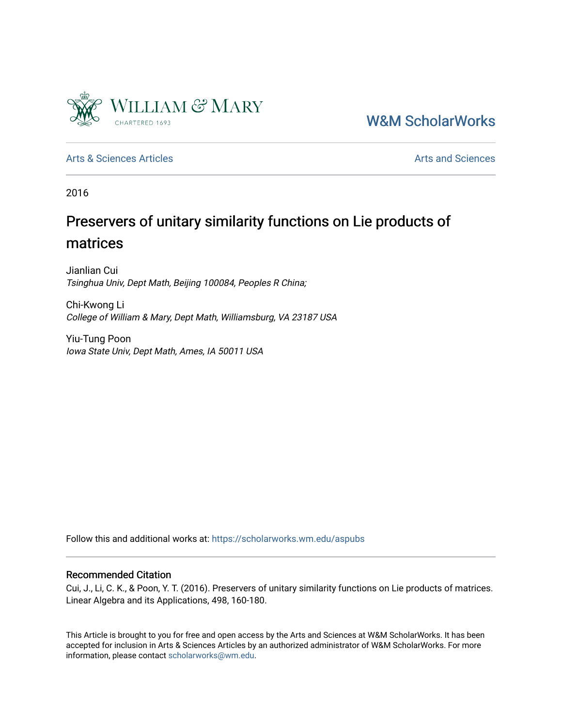

[W&M ScholarWorks](https://scholarworks.wm.edu/) 

[Arts & Sciences Articles](https://scholarworks.wm.edu/aspubs) **Articles** [Arts and Sciences](https://scholarworks.wm.edu/as) Articles Arts and Sciences Arts and Sciences Articles Arts and Sciences Arts and Sciences Articles Arts and Sciences Articles Arts and Sciences Articles **Arts and Scien** 

2016

# Preservers of unitary similarity functions on Lie products of matrices

Jianlian Cui Tsinghua Univ, Dept Math, Beijing 100084, Peoples R China;

Chi-Kwong Li College of William & Mary, Dept Math, Williamsburg, VA 23187 USA

Yiu-Tung Poon Iowa State Univ, Dept Math, Ames, IA 50011 USA

Follow this and additional works at: [https://scholarworks.wm.edu/aspubs](https://scholarworks.wm.edu/aspubs?utm_source=scholarworks.wm.edu%2Faspubs%2F717&utm_medium=PDF&utm_campaign=PDFCoverPages) 

#### Recommended Citation

Cui, J., Li, C. K., & Poon, Y. T. (2016). Preservers of unitary similarity functions on Lie products of matrices. Linear Algebra and its Applications, 498, 160-180.

This Article is brought to you for free and open access by the Arts and Sciences at W&M ScholarWorks. It has been accepted for inclusion in Arts & Sciences Articles by an authorized administrator of W&M ScholarWorks. For more information, please contact [scholarworks@wm.edu](mailto:scholarworks@wm.edu).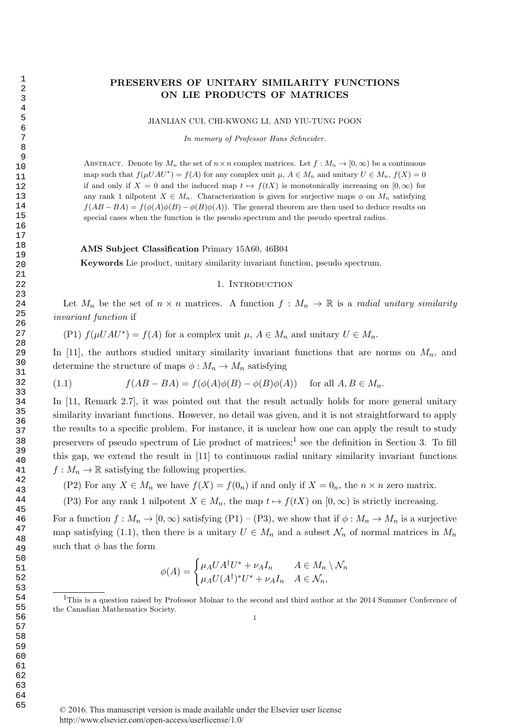### PRESERVERS OF UNITARY SIMILARITY FUNCTIONS ON LIE PRODUCTS OF MATRICES

JIANLIAN CUI, CHI-KWONG LI, AND YIU-TUNG POON

In memory of Professor Hans Schneider.

ABSTRACT. Denote by  $M_n$  the set of  $n \times n$  complex matrices. Let  $f : M_n \to [0, \infty)$  be a continuous map such that  $f(\mu UAU^*) = f(A)$  for any complex unit  $\mu$ ,  $A \in M_n$  and unitary  $U \in M_n$ ,  $f(X) = 0$ if and only if  $X = 0$  and the induced map  $t \mapsto f(tX)$  is monotonically increasing on  $[0, \infty)$  for any rank 1 nilpotent  $X \in M_n$ . Characterization is given for surjective maps  $\phi$  on  $M_n$  satisfying  $f(AB - BA) = f(\phi(A)\phi(B) - \phi(B)\phi(A))$ . The general theorem are then used to deduce results on special cases when the function is the pseudo spectrum and the pseudo spectral radius.

#### AMS Subject Classification Primary 15A60, 46B04

Keywords Lie product, unitary similarity invariant function, pseudo spectrum.

#### 1. INTRODUCTION

Let  $M_n$  be the set of  $n \times n$  matrices. A function  $f : M_n \to \mathbb{R}$  is a radial unitary similarity invariant function if

(P1)  $f(\mu UAU^*) = f(A)$  for a complex unit  $\mu$ ,  $A \in M_n$  and unitary  $U \in M_n$ .

In [11], the authors studied unitary similarity invariant functions that are norms on  $M_n$ , and determine the structure of maps  $\phi : M_n \to M_n$  satisfying

(1.1) 
$$
f(AB - BA) = f(\phi(A)\phi(B) - \phi(B)\phi(A)) \quad \text{for all } A, B \in M_n.
$$

In [11, Remark 2.7], it was pointed out that the result actually holds for more general unitary similarity invariant functions. However, no detail was given, and it is not straightforward to apply the results to a specific problem. For instance, it is unclear how one can apply the result to study preservers of pseudo spectrum of Lie product of matrices;<sup>1</sup> see the definition in Section 3. To fill this gap, we extend the result in [11] to continuous radial unitary similarity invariant functions  $f: M_n \to \mathbb{R}$  satisfying the following properties.

(P2) For any  $X \in M_n$  we have  $f(X) = f(0_n)$  if and only if  $X = 0_n$ , the  $n \times n$  zero matrix.

(P3) For any rank 1 nilpotent  $X \in M_n$ , the map  $t \mapsto f(tX)$  on  $[0, \infty)$  is strictly increasing.

For a function  $f : M_n \to [0, \infty)$  satisfying  $(P1) - (P3)$ , we show that if  $\phi : M_n \to M_n$  is a surjective map satisfying (1.1), then there is a unitary  $U \in M_n$  and a subset  $\mathcal{N}_n$  of normal matrices in  $M_n$ such that  $\phi$  has the form

$$
\phi(A) = \begin{cases} \mu_A U A^{\dagger} U^* + \nu_A I_n & A \in M_n \setminus \mathcal{N}_n \\ \mu_A U (A^{\dagger})^* U^* + \nu_A I_n & A \in \mathcal{N}_n, \end{cases}
$$

<sup>&</sup>lt;sup>1</sup>This is a question raised by Professor Molnar to the second and third author at the 2014 Summer Conference of the Canadian Mathematics Society.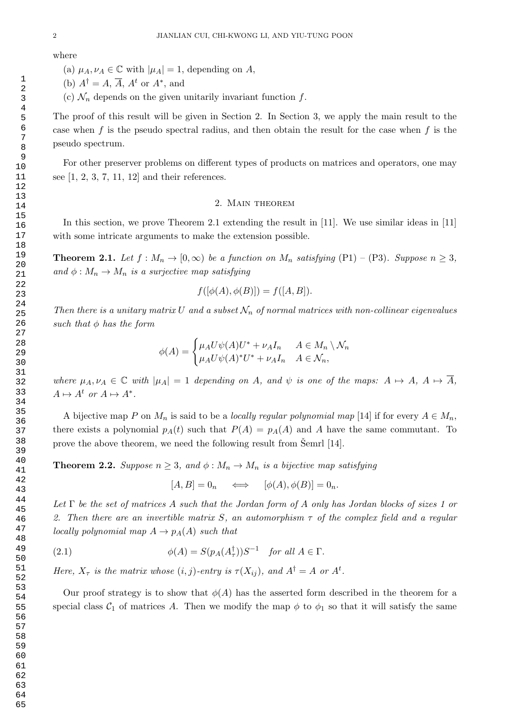where

- (a)  $\mu_A, \nu_A \in \mathbb{C}$  with  $|\mu_A| = 1$ , depending on A,
- (b)  $A^{\dagger} = A, \overline{A}, A^t$  or  $A^*$ , and
- (c)  $\mathcal{N}_n$  depends on the given unitarily invariant function f.

The proof of this result will be given in Section 2. In Section 3, we apply the main result to the case when f is the pseudo spectral radius, and then obtain the result for the case when f is the pseudo spectrum.

For other preserver problems on different types of products on matrices and operators, one may see [1, 2, 3, 7, 11, 12] and their references.

#### 2. Main theorem

In this section, we prove Theorem 2.1 extending the result in [11]. We use similar ideas in [11] with some intricate arguments to make the extension possible.

**Theorem 2.1.** Let  $f : M_n \to [0, \infty)$  be a function on  $M_n$  satisfying  $(P1) - (P3)$ . Suppose  $n \geq 3$ , and  $\phi: M_n \to M_n$  is a surjective map satisfying

$$
f([\phi(A), \phi(B)]) = f([A, B]).
$$

Then there is a unitary matrix U and a subset  $\mathcal{N}_n$  of normal matrices with non-collinear eigenvalues such that  $\phi$  has the form

$$
\phi(A) = \begin{cases} \mu_A U \psi(A) U^* + \nu_A I_n & A \in M_n \setminus \mathcal{N}_n \\ \mu_A U \psi(A)^* U^* + \nu_A I_n & A \in \mathcal{N}_n, \end{cases}
$$

where  $\mu_A, \nu_A \in \mathbb{C}$  with  $|\mu_A| = 1$  depending on A, and  $\psi$  is one of the maps:  $A \mapsto A$ ,  $A \mapsto \overline{A}$ ,  $A \mapsto A^t$  or  $A \mapsto A^*$ .

A bijective map P on  $M_n$  is said to be a locally regular polynomial map [14] if for every  $A \in M_n$ , there exists a polynomial  $p_A(t)$  such that  $P(A) = p_A(A)$  and A have the same commutant. To prove the above theorem, we need the following result from  $\text{Semrl }[14]$ .

**Theorem 2.2.** Suppose  $n \geq 3$ , and  $\phi : M_n \to M_n$  is a bijective map satisfying

 $[A, B] = 0_n \quad \Longleftrightarrow \quad [\phi(A), \phi(B)] = 0_n.$ 

Let  $\Gamma$  be the set of matrices A such that the Jordan form of A only has Jordan blocks of sizes 1 or 2. Then there are an invertible matrix S, an automorphism  $\tau$  of the complex field and a regular locally polynomial map  $A \to p_A(A)$  such that

(2.1) 
$$
\phi(A) = S(p_A(A_\tau^\dagger))S^{-1} \text{ for all } A \in \Gamma.
$$

Here,  $X_{\tau}$  is the matrix whose  $(i, j)$ -entry is  $\tau(X_{ij})$ , and  $A^{\dagger} = A$  or  $A^{\dagger}$ .

Our proof strategy is to show that  $\phi(A)$  has the asserted form described in the theorem for a special class  $C_1$  of matrices A. Then we modify the map  $\phi$  to  $\phi_1$  so that it will satisfy the same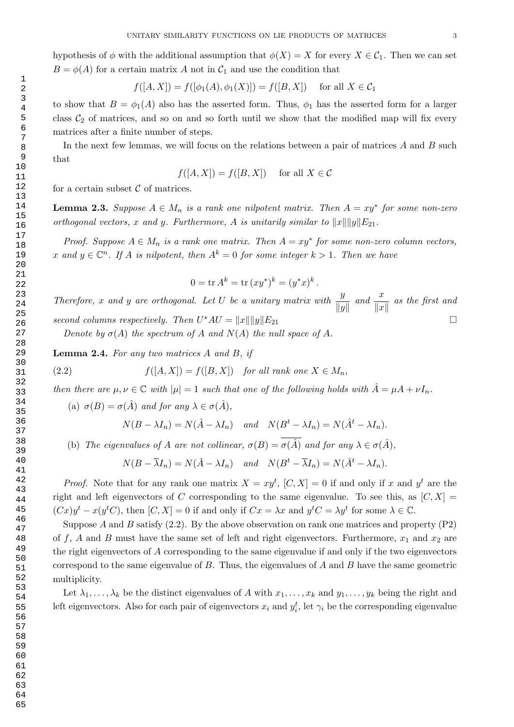hypothesis of  $\phi$  with the additional assumption that  $\phi(X) = X$  for every  $X \in \mathcal{C}_1$ . Then we can set  $B = \phi(A)$  for a certain matrix A not in  $C_1$  and use the condition that

$$
f([A, X]) = f([\phi_1(A), \phi_1(X)]) = f([B, X])
$$
 for all  $X \in C_1$ 

to show that  $B = \phi_1(A)$  also has the asserted form. Thus,  $\phi_1$  has the asserted form for a larger class  $C_2$  of matrices, and so on and so forth until we show that the modified map will fix every matrices after a finite number of steps.

In the next few lemmas, we will focus on the relations between a pair of matrices  $A$  and  $B$  such that

$$
f([A, X]) = f([B, X]) \quad \text{for all } X \in \mathcal{C}
$$

for a certain subset  $\mathcal C$  of matrices.

**Lemma 2.3.** Suppose  $A \in M_n$  is a rank one nilpotent matrix. Then  $A = xy^*$  for some non-zero orthogonal vectors, x and y. Furthermore, A is unitarily similar to  $||x|| ||y||E_{21}$ .

Proof. Suppose  $A \in M_n$  is a rank one matrix. Then  $A = xy^*$  for some non-zero column vectors, x and  $y \in \mathbb{C}^n$ . If A is nilpotent, then  $A^k = 0$  for some integer  $k > 1$ . Then we have

$$
0 = \text{tr } A^k = \text{tr } (xy^*)^k = (y^*x)^k.
$$

Therefore, x and y are orthogonal. Let U be a unitary matrix with  $\frac{y}{\|y\|}$  and  $\frac{x}{\|x\|}$  as the first and second columns respectively. Then  $U^*AU = ||x|| ||y||E_{21}$ 

Denote by  $\sigma(A)$  the spectrum of A and  $N(A)$  the null space of A.

Lemma 2.4. For any two matrices A and B, if

(2.2) 
$$
f([A, X]) = f([B, X]) \text{ for all rank one } X \in M_n,
$$

then there are  $\mu, \nu \in \mathbb{C}$  with  $|\mu|=1$  such that one of the following holds with  $\hat{A}=\mu A+\nu I_n$ .

(a)  $\sigma(B) = \sigma(\hat{A})$  and for any  $\lambda \in \sigma(\hat{A})$ ,

$$
N(B - \lambda I_n) = N(\hat{A} - \lambda I_n) \quad and \quad N(B^t - \lambda I_n) = N(\hat{A}^t - \lambda I_n).
$$

(b) The eigenvalues of A are not collinear,  $\sigma(B) = \overline{\sigma(\hat{A})}$  and for any  $\lambda \in \sigma(\hat{A})$ ,

$$
N(B - \overline{\lambda}I_n) = N(\hat{A} - \lambda I_n) \quad and \quad N(B^t - \overline{\lambda}I_n) = N(\hat{A}^t - \lambda I_n).
$$

*Proof.* Note that for any rank one matrix  $X = xy^t$ ,  $[C, X] = 0$  if and only if x and  $y^t$  are the right and left eigenvectors of C corresponding to the same eigenvalue. To see this, as  $[C, X] =$  $(Cx)y^{t} - x(y^{t}C)$ , then  $[C, X] = 0$  if and only if  $Cx = \lambda x$  and  $y^{t}C = \lambda y^{t}$  for some  $\lambda \in \mathbb{C}$ .

Suppose A and B satisfy  $(2.2)$ . By the above observation on rank one matrices and property  $(P2)$ of f, A and B must have the same set of left and right eigenvectors. Furthermore,  $x_1$  and  $x_2$  are the right eigenvectors of A corresponding to the same eigenvalue if and only if the two eigenvectors correspond to the same eigenvalue of  $B$ . Thus, the eigenvalues of  $A$  and  $B$  have the same geometric multiplicity.

Let  $\lambda_1, \ldots, \lambda_k$  be the distinct eigenvalues of A with  $x_1, \ldots, x_k$  and  $y_1, \ldots, y_k$  being the right and left eigenvectors. Also for each pair of eigenvectors  $x_i$  and  $y_i^t$ , let  $\gamma_i$  be the corresponding eigenvalue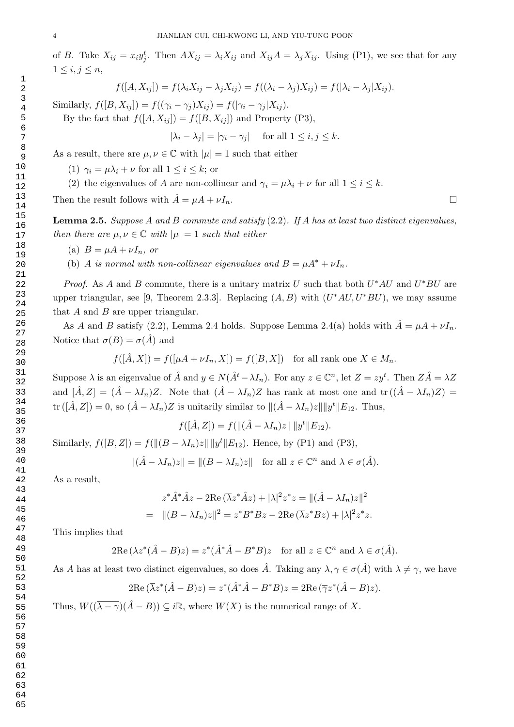of B. Take  $X_{ij} = x_i y_j^t$ . Then  $AX_{ij} = \lambda_i X_{ij}$  and  $X_{ij}A = \lambda_j X_{ij}$ . Using (P1), we see that for any  $1 \leq i, j \leq n$ ,

$$
f([A, X_{ij}]) = f(\lambda_i X_{ij} - \lambda_j X_{ij}) = f((\lambda_i - \lambda_j) X_{ij}) = f(|\lambda_i - \lambda_j| X_{ij}).
$$

Similarly,  $f([B, X_{ij}]) = f((\gamma_i - \gamma_j)X_{ij}) = f(|\gamma_i - \gamma_j|X_{ij}).$ 

By the fact that  $f([A, X_{ij}]) = f([B, X_{ij}])$  and Property (P3),

$$
|\lambda_i - \lambda_j| = |\gamma_i - \gamma_j| \quad \text{for all } 1 \le i, j \le k.
$$

As a result, there are  $\mu, \nu \in \mathbb{C}$  with  $|\mu| = 1$  such that either

(1)  $\gamma_i = \mu \lambda_i + \nu$  for all  $1 \leq i \leq k$ ; or

(2) the eigenvalues of A are non-collinear and  $\overline{\gamma}_i = \mu \lambda_i + \nu$  for all  $1 \leq i \leq k$ .

Then the result follows with  $\hat{A} = \mu A + \nu I_n$ .

**Lemma 2.5.** Suppose A and B commute and satisfy  $(2.2)$ . If A has at least two distinct eigenvalues, then there are  $\mu, \nu \in \mathbb{C}$  with  $|\mu|=1$  such that either

- (a)  $B = \mu A + \nu I_n$ , or
- (b) A is normal with non-collinear eigenvalues and  $B = \mu A^* + \nu I_n$ .

*Proof.* As A and B commute, there is a unitary matrix U such that both  $U^*AU$  and  $U^*BU$  are upper triangular, see [9, Theorem 2.3.3]. Replacing  $(A, B)$  with  $(U^*AU, U^*BU)$ , we may assume that  $A$  and  $B$  are upper triangular.

As A and B satisfy (2.2), Lemma 2.4 holds. Suppose Lemma 2.4(a) holds with  $\hat{A} = \mu A + \nu I_n$ . Notice that  $\sigma(B) = \sigma(\tilde{A})$  and

$$
f([\hat{A}, X]) = f([\mu A + \nu I_n, X]) = f([B, X]) \text{ for all rank one } X \in M_n.
$$

Suppose  $\lambda$  is an eigenvalue of  $\hat{A}$  and  $y \in N(\hat{A}^t - \lambda I_n)$ . For any  $z \in \mathbb{C}^n$ , let  $Z = zy^t$ . Then  $Z\hat{A} = \lambda Z$ and  $[\hat{A}, Z] = (\hat{A} - \lambda I_n)Z$ . Note that  $(\hat{A} - \lambda I_n)Z$  has rank at most one and  $tr((\hat{A} - \lambda I_n)Z)$ tr  $([\hat{A}, Z]) = 0$ , so  $(\hat{A} - \lambda I_n)Z$  is unitarily similar to  $\|(\hat{A} - \lambda I_n)z\| \|y^t\| E_{12}$ . Thus,

$$
f([A, Z]) = f(||(A - \lambda I_n)z|| ||y^t|| E_{12}).
$$

Similarly,  $f([B, Z]) = f(||(B - \lambda I_n)z|| ||y^t|| E_{12})$ . Hence, by (P1) and (P3),

$$
\|(\hat{A} - \lambda I_n)z\| = \|(B - \lambda I_n)z\| \text{ for all } z \in \mathbb{C}^n \text{ and } \lambda \in \sigma(\hat{A}).
$$

As a result,

$$
z^*\hat{A}^*\hat{A}z - 2\operatorname{Re}(\overline{\lambda}z^*\hat{A}z) + |\lambda|^2 z^*z = ||(\hat{A} - \lambda I_n)z||^2
$$
  
= 
$$
||(B - \lambda I_n)z||^2 = z^*B^*Bz - 2\operatorname{Re}(\overline{\lambda}z^*Bz) + |\lambda|^2 z^*z.
$$

This implies that

$$
2\mathrm{Re}\,(\overline{\lambda}z^*(\hat{A}-B)z)=z^*(\hat{A}^*\hat{A}-B^*B)z \quad \text{for all } z\in\mathbb{C}^n \text{ and } \lambda\in\sigma(\hat{A}).
$$

As A has at least two distinct eigenvalues, so does  $\hat{A}$ . Taking any  $\lambda, \gamma \in \sigma(\hat{A})$  with  $\lambda \neq \gamma$ , we have

$$
2\mathrm{Re}\,(\overline{\lambda}z^*(\hat{A}-B)z)=z^*(\hat{A}^*\hat{A}-B^*B)z=2\mathrm{Re}\,(\overline{\gamma}z^*(\hat{A}-B)z).
$$

Thus,  $W((\overline{\lambda-\gamma})(\hat{A}-B)) \subseteq i\mathbb{R}$ , where  $W(X)$  is the numerical range of X.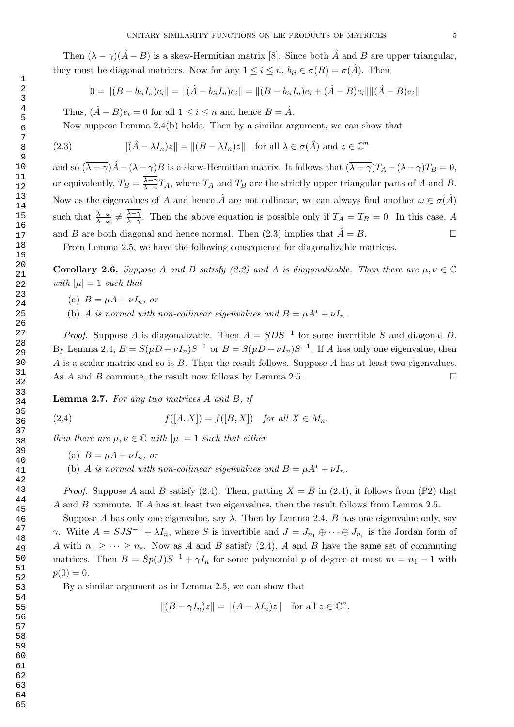Then  $(\overline{\lambda} - \gamma)(\hat{A} - B)$  is a skew-Hermitian matrix [8]. Since both  $\hat{A}$  and B are upper triangular, they must be diagonal matrices. Now for any  $1 \leq i \leq n$ ,  $b_{ii} \in \sigma(B) = \sigma(\hat{A})$ . Then

$$
0 = ||(B - b_{ii}I_n)e_i|| = ||(\hat{A} - b_{ii}I_n)e_i|| = ||(B - b_{ii}I_n)e_i + (\hat{A} - B)e_i|| ||(\hat{A} - B)e_i||
$$

Thus,  $(\hat{A} - B)e_i = 0$  for all  $1 \leq i \leq n$  and hence  $B = \hat{A}$ .

Now suppose Lemma 2.4(b) holds. Then by a similar argument, we can show that

(2.3) 
$$
\| (\hat{A} - \lambda I_n) z \| = \| (B - \overline{\lambda} I_n) z \| \text{ for all } \lambda \in \sigma(\hat{A}) \text{ and } z \in \mathbb{C}^n
$$

and so  $(\overline{\lambda - \gamma})\hat{A} - (\lambda - \gamma)B$  is a skew-Hermitian matrix. It follows that  $(\overline{\lambda - \gamma})T_A - (\lambda - \gamma)T_B = 0$ , or equivalently,  $T_B = \frac{\lambda - \gamma}{\lambda - \gamma}$  $\frac{\lambda-\gamma}{\lambda-\gamma}T_A$ , where  $T_A$  and  $T_B$  are the strictly upper triangular parts of A and B. Now as the eigenvalues of A and hence  $\hat{A}$  are not collinear, we can always find another  $\omega \in \sigma(\hat{A})$ such that  $\frac{\overline{\lambda-\omega}}{\lambda-\omega}\neq\frac{\lambda-\gamma}{\lambda-\gamma}$  $\frac{\lambda-\gamma}{\lambda-\gamma}$ . Then the above equation is possible only if  $T_A = T_B = 0$ . In this case, A and B are both diagonal and hence normal. Then (2.3) implies that  $\hat{A} = \overline{B}$ .

From Lemma 2.5, we have the following consequence for diagonalizable matrices.

**Corollary 2.6.** Suppose A and B satisfy (2.2) and A is diagonalizable. Then there are  $\mu, \nu \in \mathbb{C}$ with  $|\mu|=1$  such that

- (a)  $B = \mu A + \nu I_n$ , or
- (b) A is normal with non-collinear eigenvalues and  $B = \mu A^* + \nu I_n$ .

*Proof.* Suppose A is diagonalizable. Then  $A = SDS^{-1}$  for some invertible S and diagonal D. By Lemma 2.4,  $B = S(\mu D + \nu I_n)S^{-1}$  or  $B = S(\mu \overline{D} + \nu I_n)S^{-1}$ . If A has only one eigenvalue, then A is a scalar matrix and so is B. Then the result follows. Suppose A has at least two eigenvalues. As A and B commute, the result now follows by Lemma 2.5.

**Lemma 2.7.** For any two matrices  $A$  and  $B$ , if

(2.4) 
$$
f([A, X]) = f([B, X]) \text{ for all } X \in M_n,
$$

then there are  $\mu, \nu \in \mathbb{C}$  with  $|\mu|=1$  such that either

- (a)  $B = \mu A + \nu I_n$ , or
- (b) A is normal with non-collinear eigenvalues and  $B = \mu A^* + \nu I_n$ .

*Proof.* Suppose A and B satisfy (2.4). Then, putting  $X = B$  in (2.4), it follows from (P2) that A and B commute. If A has at least two eigenvalues, then the result follows from Lemma 2.5.

Suppose A has only one eigenvalue, say  $\lambda$ . Then by Lemma 2.4, B has one eigenvalue only, say γ. Write  $A = SJS^{-1} + \lambda I_n$ , where S is invertible and  $J = J_{n_1} \oplus \cdots \oplus J_{n_s}$  is the Jordan form of A with  $n_1 \geq \cdots \geq n_s$ . Now as A and B satisfy (2.4), A and B have the same set of commuting matrices. Then  $B = Sp(J)S^{-1} + \gamma I_n$  for some polynomial p of degree at most  $m = n_1 - 1$  with  $p(0) = 0.$ 

By a similar argument as in Lemma 2.5, we can show that

$$
||(B - \gamma I_n)z|| = ||(A - \lambda I_n)z|| \text{ for all } z \in \mathbb{C}^n.
$$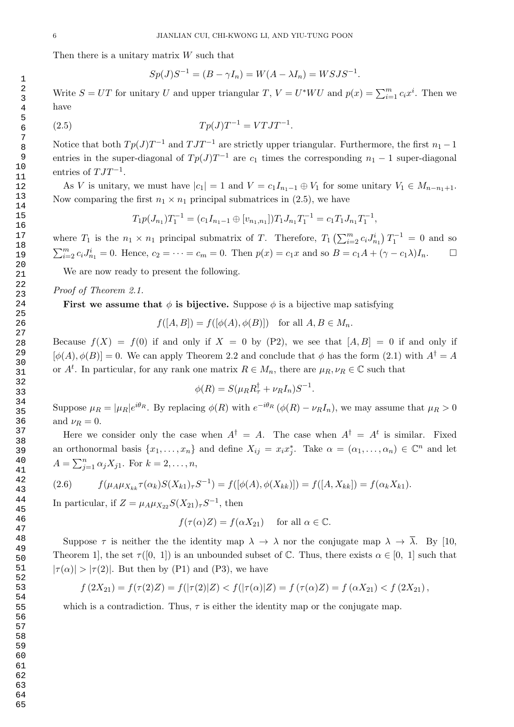Then there is a unitary matrix  $W$  such that

$$
Sp(J)S^{-1} = (B - \gamma I_n) = W(A - \lambda I_n) = W S J S^{-1}.
$$

Write  $S = UT$  for unitary U and upper triangular T,  $V = U^* W U$  and  $p(x) = \sum_{i=1}^{m} c_i x^i$ . Then we have

(2.5) 
$$
T p(J) T^{-1} = V T J T^{-1}.
$$

Notice that both  $Tp(J)T^{-1}$  and  $TJT^{-1}$  are strictly upper triangular. Furthermore, the first  $n_1-1$ entries in the super-diagonal of  $Tp(J)T^{-1}$  are  $c_1$  times the corresponding  $n_1 - 1$  super-diagonal entries of  $TJT^{-1}$ .

As V is unitary, we must have  $|c_1| = 1$  and  $V = c_1 I_{n_1-1} \oplus V_1$  for some unitary  $V_1 \in M_{n-n_1+1}$ . Now comparing the first  $n_1 \times n_1$  principal submatrices in (2.5), we have

$$
T_1 p(J_{n_1}) T_1^{-1} = (c_1 I_{n_1-1} \oplus [v_{n_1,n_1}]) T_1 J_{n_1} T_1^{-1} = c_1 T_1 J_{n_1} T_1^{-1},
$$

where  $T_1$  is the  $n_1 \times n_1$  principal submatrix of T. Therefore,  $T_1\left(\sum_{i=2}^m c_i J_{n_1}^i\right) T_1^{-1} = 0$  and so  $\sum_{i=2}^{m} c_i J_{n_1}^i = 0$ . Hence,  $c_2 = \cdots = c_m = 0$ . Then  $p(x) = c_1 x$  and so  $B = c_1 A + (\gamma - c_1 \lambda) I_n$ .

We are now ready to present the following.

Proof of Theorem 2.1.

First we assume that  $\phi$  is bijective. Suppose  $\phi$  is a bijective map satisfying

 $f([A, B]) = f([\phi(A), \phi(B)])$  for all  $A, B \in M_n$ .

Because  $f(X) = f(0)$  if and only if  $X = 0$  by (P2), we see that  $[A, B] = 0$  if and only if  $[\phi(A), \phi(B)] = 0$ . We can apply Theorem 2.2 and conclude that  $\phi$  has the form (2.1) with  $A^{\dagger} = A$ or  $A^t$ . In particular, for any rank one matrix  $R \in M_n$ , there are  $\mu_R, \nu_R \in \mathbb{C}$  such that

$$
\phi(R) = S(\mu_R R_\tau^\dagger + \nu_R I_n) S^{-1}.
$$

Suppose  $\mu_R = |\mu_R|e^{i\theta_R}$ . By replacing  $\phi(R)$  with  $e^{-i\theta_R}(\phi(R) - \nu_R I_n)$ , we may assume that  $\mu_R > 0$ and  $\nu_R = 0$ .

Here we consider only the case when  $A^{\dagger} = A$ . The case when  $A^{\dagger} = A^t$  is similar. Fixed an orthonormal basis  $\{x_1, \ldots, x_n\}$  and define  $X_{ij} = x_i x_j^*$ . Take  $\alpha = (\alpha_1, \ldots, \alpha_n) \in \mathbb{C}^n$  and let  $A = \sum_{j=1}^{n} \alpha_j X_{j1}$ . For  $k = 2, ..., n$ ,

$$
(2.6) \t f(\mu_A \mu_{X_{kk}} \tau(\alpha_k) S(X_{k1})_\tau S^{-1}) = f([\phi(A), \phi(X_{kk})]) = f([A, X_{kk}]) = f(\alpha_k X_{k1}).
$$

In particular, if  $Z = \mu_A \mu_{X_{22}} S(X_{21})_\tau S^{-1}$ , then

$$
f(\tau(\alpha)Z) = f(\alpha X_{21})
$$
 for all  $\alpha \in \mathbb{C}$ .

Suppose  $\tau$  is neither the the identity map  $\lambda \to \lambda$  nor the conjugate map  $\lambda \to \overline{\lambda}$ . By [10, Theorem 1, the set  $\tau([0, 1])$  is an unbounded subset of C. Thus, there exists  $\alpha \in [0, 1]$  such that  $|\tau(\alpha)| > |\tau(2)|$ . But then by (P1) and (P3), we have

$$
f(2X_{21}) = f(\tau(2)Z) = f(|\tau(2)|Z) < f(|\tau(\alpha)|Z) = f(\tau(\alpha)Z) = f(\alpha X_{21}) < f(2X_{21}),
$$

which is a contradiction. Thus,  $\tau$  is either the identity map or the conjugate map.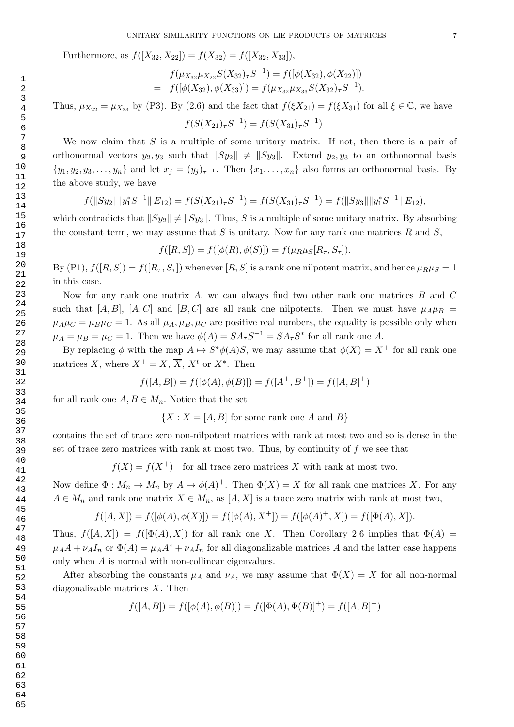Furthermore, as  $f([X_{32}, X_{22}]) = f(X_{32}) = f([X_{32}, X_{33}]),$ 

$$
f(\mu_{X_{32}}\mu_{X_{22}}S(X_{32})_{\tau}S^{-1}) = f([\phi(X_{32}), \phi(X_{22})])
$$
  
=  $f([\phi(X_{32}), \phi(X_{33})]) = f(\mu_{X_{32}}\mu_{X_{33}}S(X_{32})_{\tau}S^{-1}).$ 

Thus,  $\mu_{X_{22}} = \mu_{X_{33}}$  by (P3). By (2.6) and the fact that  $f(\xi X_{21}) = f(\xi X_{31})$  for all  $\xi \in \mathbb{C}$ , we have  $f(S(X_{21})_{\tau}S^{-1}) = f(S(X_{31})_{\tau}S^{-1}).$ 

We now claim that  $S$  is a multiple of some unitary matrix. If not, then there is a pair of orthonormal vectors  $y_2, y_3$  such that  $||Sy_2|| \neq ||Sy_3||$ . Extend  $y_2, y_3$  to an orthonormal basis  $\{y_1, y_2, y_3, \ldots, y_n\}$  and let  $x_j = (y_j)_{\tau^{-1}}$ . Then  $\{x_1, \ldots, x_n\}$  also forms an orthonormal basis. By the above study, we have

$$
f(||Sy_2|| ||y_1^*S^{-1}|| E_{12}) = f(S(X_{21})_{\tau}S^{-1}) = f(S(X_{31})_{\tau}S^{-1}) = f(||Sy_3|| ||y_1^*S^{-1}|| E_{12}),
$$

which contradicts that  $||Sy_2|| \neq ||Sy_3||$ . Thus, S is a multiple of some unitary matrix. By absorbing the constant term, we may assume that  $S$  is unitary. Now for any rank one matrices  $R$  and  $S$ ,

 $f([R, S]) = f([\phi(R), \phi(S)]) = f(\mu_R \mu_S[R_\tau, S_\tau]).$ 

By (P1),  $f([R, S]) = f([R_T, S_T])$  whenever  $[R, S]$  is a rank one nilpotent matrix, and hence  $\mu_R \mu_S = 1$ in this case.

Now for any rank one matrix A, we can always find two other rank one matrices B and C such that [A, B], [A, C] and [B, C] are all rank one nilpotents. Then we must have  $\mu_A \mu_B$  =  $\mu_A\mu_C = \mu_B\mu_C = 1$ . As all  $\mu_A, \mu_B, \mu_C$  are positive real numbers, the equality is possible only when  $\mu_A = \mu_B = \mu_C = 1$ . Then we have  $\phi(A) = SA_\tau S^{-1} = SA_\tau S^*$  for all rank one A.

By replacing  $\phi$  with the map  $A \mapsto S^* \phi(A)S$ , we may assume that  $\phi(X) = X^+$  for all rank one matrices X, where  $X^+ = X$ ,  $\overline{X}$ ,  $X^t$  or  $X^*$ . Then

$$
f([A, B]) = f([\phi(A), \phi(B)]) = f([A^+, B^+]) = f([A, B]^+)
$$

for all rank one  $A, B \in M_n$ . Notice that the set

 ${X : X = [A, B] \text{ for some rank one } A \text{ and } B}$ 

contains the set of trace zero non-nilpotent matrices with rank at most two and so is dense in the set of trace zero matrices with rank at most two. Thus, by continuity of  $f$  we see that

 $f(X) = f(X^+)$  for all trace zero matrices X with rank at most two.

Now define  $\Phi: M_n \to M_n$  by  $A \mapsto \phi(A)^+$ . Then  $\Phi(X) = X$  for all rank one matrices X. For any  $A \in M_n$  and rank one matrix  $X \in M_n$ , as  $[A, X]$  is a trace zero matrix with rank at most two,

$$
f([A, X]) = f([\phi(A), \phi(X)]) = f([\phi(A), X^+]) = f([\phi(A)^+, X]) = f([\Phi(A), X]).
$$

Thus,  $f([A, X]) = f([\Phi(A), X])$  for all rank one X. Then Corollary 2.6 implies that  $\Phi(A) =$  $\mu_A A + \nu_A I_n$  or  $\Phi(A) = \mu_A A^* + \nu_A I_n$  for all diagonalizable matrices A and the latter case happens only when A is normal with non-collinear eigenvalues.

After absorbing the constants  $\mu_A$  and  $\nu_A$ , we may assume that  $\Phi(X) = X$  for all non-normal diagonalizable matrices X. Then

$$
f([A, B]) = f([\phi(A), \phi(B)]) = f([\Phi(A), \Phi(B)]^{+}) = f([A, B]^{+})
$$

$$
\frac{62}{11}
$$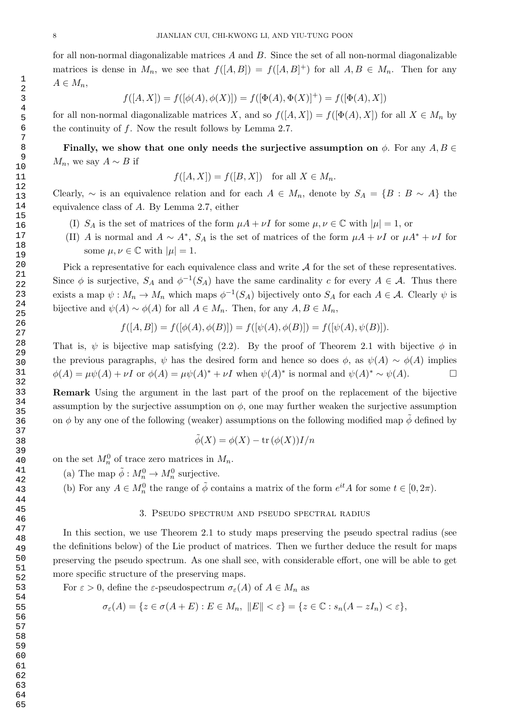for all non-normal diagonalizable matrices A and B. Since the set of all non-normal diagonalizable matrices is dense in  $M_n$ , we see that  $f([A, B]) = f([A, B]^+)$  for all  $A, B \in M_n$ . Then for any  $A \in M_n$ ,

$$
f([A,X])=f([\phi(A),\phi(X)])=f([\Phi(A),\Phi(X)]^+)=f([\Phi(A),X])
$$

for all non-normal diagonalizable matrices X, and so  $f([A, X]) = f([\Phi(A), X])$  for all  $X \in M_n$  by the continuity of f. Now the result follows by Lemma 2.7.

Finally, we show that one only needs the surjective assumption on  $\phi$ . For any  $A, B \in$  $M_n$ , we say  $A \sim B$  if

$$
f([A, X]) = f([B, X]) \text{ for all } X \in M_n.
$$

Clearly,  $\sim$  is an equivalence relation and for each  $A \in M_n$ , denote by  $S_A = \{B : B \sim A\}$  the equivalence class of A. By Lemma 2.7, either

- (I)  $S_A$  is the set of matrices of the form  $\mu A + \nu I$  for some  $\mu, \nu \in \mathbb{C}$  with  $|\mu| = 1$ , or
- (II) A is normal and  $A \sim A^*$ ,  $S_A$  is the set of matrices of the form  $\mu A + \nu I$  or  $\mu A^* + \nu I$  for some  $\mu, \nu \in \mathbb{C}$  with  $|\mu|=1$ .

Pick a representative for each equivalence class and write  $A$  for the set of these representatives. Since  $\phi$  is surjective,  $S_A$  and  $\phi^{-1}(S_A)$  have the same cardinality c for every  $A \in \mathcal{A}$ . Thus there exists a map  $\psi: M_n \to M_n$  which maps  $\phi^{-1}(S_A)$  bijectively onto  $S_A$  for each  $A \in \mathcal{A}$ . Clearly  $\psi$  is bijective and  $\psi(A) \sim \phi(A)$  for all  $A \in M_n$ . Then, for any  $A, B \in M_n$ ,

$$
f([A, B]) = f([\phi(A), \phi(B)]) = f([\psi(A), \phi(B)]) = f([\psi(A), \psi(B)]).
$$

That is,  $\psi$  is bijective map satisfying (2.2). By the proof of Theorem 2.1 with bijective  $\phi$  in the previous paragraphs,  $\psi$  has the desired form and hence so does  $\phi$ , as  $\psi(A) \sim \phi(A)$  implies  $\phi(A) = \mu \psi(A) + \nu I$  or  $\phi(A) = \mu \psi(A)^* + \nu I$  when  $\psi(A)^*$  is normal and  $\psi(A)^* \sim \psi(A)$ .

Remark Using the argument in the last part of the proof on the replacement of the bijective assumption by the surjective assumption on  $\phi$ , one may further weaken the surjective assumption on φ by any one of the following (weaker) assumptions on the following modified map  $\tilde{\phi}$  defined by

$$
\tilde{\phi}(X) = \phi(X) - \text{tr}(\phi(X))I/n
$$

on the set  $M_n^0$  of trace zero matrices in  $M_n$ .

(a) The map  $\tilde{\phi}: M_n^0 \to M_n^0$  surjective.

(b) For any  $A \in M_n^0$  the range of  $\tilde{\phi}$  contains a matrix of the form  $e^{it}A$  for some  $t \in [0, 2\pi)$ .

#### 3. Pseudo spectrum and pseudo spectral radius

In this section, we use Theorem 2.1 to study maps preserving the pseudo spectral radius (see the definitions below) of the Lie product of matrices. Then we further deduce the result for maps preserving the pseudo spectrum. As one shall see, with considerable effort, one will be able to get more specific structure of the preserving maps.

For  $\varepsilon > 0$ , define the  $\varepsilon$ -pseudospectrum  $\sigma_{\varepsilon}(A)$  of  $A \in M_n$  as

$$
\sigma_{\varepsilon}(A) = \{ z \in \sigma(A + E) : E \in M_n, ||E|| < \varepsilon \} = \{ z \in \mathbb{C} : s_n(A - zI_n) < \varepsilon \},
$$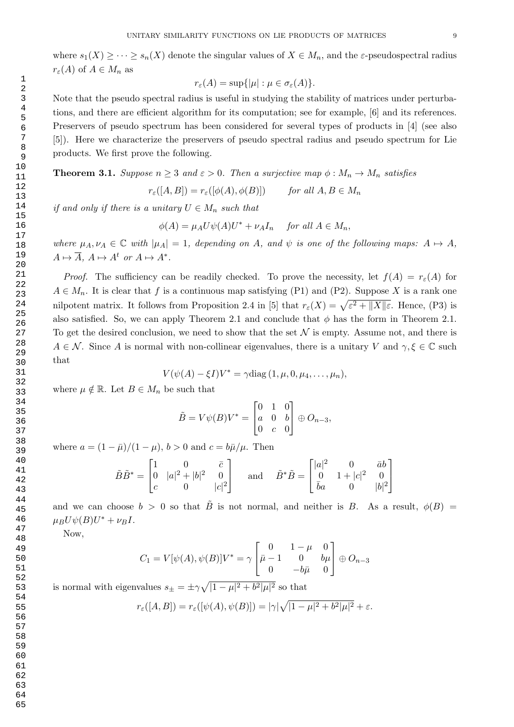where  $s_1(X) \geq \cdots \geq s_n(X)$  denote the singular values of  $X \in M_n$ , and the  $\varepsilon$ -pseudospectral radius  $r_{\varepsilon}(A)$  of  $A \in M_n$  as

$$
r_{\varepsilon}(A) = \sup\{|\mu| : \mu \in \sigma_{\varepsilon}(A)\}.
$$

Note that the pseudo spectral radius is useful in studying the stability of matrices under perturbations, and there are efficient algorithm for its computation; see for example, [6] and its references. Preservers of pseudo spectrum has been considered for several types of products in [4] (see also [5]). Here we characterize the preservers of pseudo spectral radius and pseudo spectrum for Lie products. We first prove the following.

**Theorem 3.1.** Suppose  $n \geq 3$  and  $\varepsilon > 0$ . Then a surjective map  $\phi : M_n \to M_n$  satisfies

$$
r_{\varepsilon}([A, B]) = r_{\varepsilon}([\phi(A), \phi(B)]) \quad \text{for all } A, B \in M_n
$$

if and only if there is a unitary  $U \in M_n$  such that

$$
\phi(A) = \mu_A U \psi(A) U^* + \nu_A I_n \quad \text{for all } A \in M_n,
$$

where  $\mu_A, \nu_A \in \mathbb{C}$  with  $|\mu_A| = 1$ , depending on A, and  $\psi$  is one of the following maps:  $A \mapsto A$ ,  $A \mapsto \overline{A}$ ,  $A \mapsto A^t$  or  $A \mapsto A^*$ .

*Proof.* The sufficiency can be readily checked. To prove the necessity, let  $f(A) = r_{\varepsilon}(A)$  for  $A \in M_n$ . It is clear that f is a continuous map satisfying (P1) and (P2). Suppose X is a rank one nilpotent matrix. It follows from Proposition 2.4 in [5] that  $r_{\varepsilon}(X) = \sqrt{\varepsilon^2 + ||X|| \varepsilon}$ . Hence, (P3) is also satisfied. So, we can apply Theorem 2.1 and conclude that  $\phi$  has the form in Theorem 2.1. To get the desired conclusion, we need to show that the set  $N$  is empty. Assume not, and there is  $A \in \mathcal{N}$ . Since A is normal with non-collinear eigenvalues, there is a unitary V and  $\gamma, \xi \in \mathbb{C}$  such that

$$
V(\psi(A) - \xi I)V^* = \gamma \text{diag}(1, \mu, 0, \mu_4, \dots, \mu_n),
$$

where  $\mu \notin \mathbb{R}$ . Let  $B \in M_n$  be such that

$$
\tilde{B} = V\psi(B)V^* = \begin{bmatrix} 0 & 1 & 0 \\ a & 0 & b \\ 0 & c & 0 \end{bmatrix} \oplus O_{n-3},
$$

where  $a = (1 - \bar{\mu})/(1 - \mu)$ ,  $b > 0$  and  $c = b\bar{\mu}/\mu$ . Then

$$
\tilde{B}\tilde{B}^* = \begin{bmatrix} 1 & 0 & \bar{c} \\ 0 & |a|^2 + |b|^2 & 0 \\ c & 0 & |c|^2 \end{bmatrix} \quad \text{and} \quad \tilde{B}^*\tilde{B} = \begin{bmatrix} |a|^2 & 0 & \bar{a}b \\ 0 & 1 + |c|^2 & 0 \\ \bar{b}a & 0 & |b|^2 \end{bmatrix}
$$

and we can choose  $b > 0$  so that  $\tilde{B}$  is not normal, and neither is B. As a result,  $\phi(B)$  =  $\mu_B U \psi(B) U^* + \nu_B I.$ 

Now,

$$
C_1 = V[\psi(A), \psi(B)]V^* = \gamma \begin{bmatrix} 0 & 1 - \mu & 0 \\ \bar{\mu} - 1 & 0 & b\mu \\ 0 & -b\bar{\mu} & 0 \end{bmatrix} \oplus O_{n-3}
$$

is normal with eigenvalues  $s_{\pm} = \pm \gamma \sqrt{|1 - \mu|^2 + b^2 |\mu|^2}$  so that

$$
r_{\varepsilon}([A, B]) = r_{\varepsilon}([\psi(A), \psi(B)]) = |\gamma| \sqrt{|1 - \mu|^2 + b^2 |\mu|^2} + \varepsilon.
$$

63 64 65

 1 2 3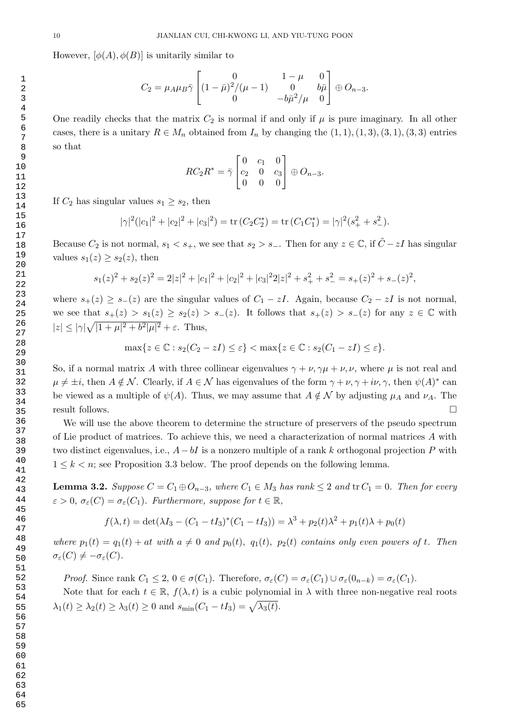However,  $[\phi(A), \phi(B)]$  is unitarily similar to

$$
C_2 = \mu_A \mu_B \bar{\gamma} \begin{bmatrix} 0 & 1 - \mu & 0 \\ (1 - \bar{\mu})^2 / (\mu - 1) & 0 & b\bar{\mu} \\ 0 & -b\bar{\mu}^2 / \mu & 0 \end{bmatrix} \oplus O_{n-3}.
$$

One readily checks that the matrix  $C_2$  is normal if and only if  $\mu$  is pure imaginary. In all other cases, there is a unitary  $R \in M_n$  obtained from  $I_n$  by changing the  $(1, 1), (1, 3), (3, 1), (3, 3)$  entries so that

$$
RC_2R^* = \bar{\gamma} \begin{bmatrix} 0 & c_1 & 0 \\ c_2 & 0 & c_3 \\ 0 & 0 & 0 \end{bmatrix} \oplus O_{n-3}.
$$

If  $C_2$  has singular values  $s_1 \geq s_2$ , then

$$
|\gamma|^2(|c_1|^2+|c_2|^2+|c_3|^2)=\text{tr}(C_2C_2^*)=\text{tr}(C_1C_1^*)=|\gamma|^2(s_+^2+s_-^2).
$$

Because  $C_2$  is not normal,  $s_1 < s_+$ , we see that  $s_2 > s_-$ . Then for any  $z \in \mathbb{C}$ , if  $\tilde{C} - zI$  has singular values  $s_1(z) \geq s_2(z)$ , then

$$
s_1(z)^2 + s_2(z)^2 = 2|z|^2 + |c_1|^2 + |c_2|^2 + |c_3|^2 + |c_3|^2 + s_+^2 + s_-^2 = s_+(z)^2 + s_-(z)^2,
$$

where  $s_{+}(z) \geq s_{-}(z)$  are the singular values of  $C_1 - zI$ . Again, because  $C_2 - zI$  is not normal, we see that  $s_+(z) > s_1(z) \geq s_2(z) > s_-(z)$ . It follows that  $s_+(z) > s_-(z)$  for any  $z \in \mathbb{C}$  with  $|z| \le |\gamma|\sqrt{|1+\mu|^2+b^2|\mu|^2}+\varepsilon$ . Thus,

$$
\max\{z \in \mathbb{C} : s_2(C_2 - zI) \le \varepsilon\} < \max\{z \in \mathbb{C} : s_2(C_1 - zI) \le \varepsilon\}.
$$

So, if a normal matrix A with three collinear eigenvalues  $\gamma + \nu, \gamma\mu + \nu, \nu$ , where  $\mu$  is not real and  $\mu \neq \pm i$ , then  $A \notin \mathcal{N}$ . Clearly, if  $A \in \mathcal{N}$  has eigenvalues of the form  $\gamma + \nu, \gamma + i\nu, \gamma$ , then  $\psi(A)^*$  can be viewed as a multiple of  $\psi(A)$ . Thus, we may assume that  $A \notin \mathcal{N}$  by adjusting  $\mu_A$  and  $\nu_A$ . The result follows.

We will use the above theorem to determine the structure of preservers of the pseudo spectrum of Lie product of matrices. To achieve this, we need a characterization of normal matrices A with two distinct eigenvalues, i.e.,  $A-bI$  is a nonzero multiple of a rank k orthogonal projection P with  $1 \leq k \leq n$ ; see Proposition 3.3 below. The proof depends on the following lemma.

**Lemma 3.2.** Suppose  $C = C_1 \oplus O_{n-3}$ , where  $C_1 \in M_3$  has rank  $\leq 2$  and  $\text{tr } C_1 = 0$ . Then for every  $\varepsilon > 0$ ,  $\sigma_{\varepsilon}(C) = \sigma_{\varepsilon}(C_1)$ . Furthermore, suppose for  $t \in \mathbb{R}$ ,

$$
f(\lambda, t) = \det(\lambda I_3 - (C_1 - tI_3)^*(C_1 - tI_3)) = \lambda^3 + p_2(t)\lambda^2 + p_1(t)\lambda + p_0(t)
$$

where  $p_1(t) = q_1(t) + at$  with  $a \neq 0$  and  $p_0(t)$ ,  $q_1(t)$ ,  $p_2(t)$  contains only even powers of t. Then  $\sigma_{\varepsilon}(C) \neq -\sigma_{\varepsilon}(C).$ 

Proof. Since rank  $C_1 \leq 2$ ,  $0 \in \sigma(C_1)$ . Therefore,  $\sigma_{\varepsilon}(C) = \sigma_{\varepsilon}(C_1) \cup \sigma_{\varepsilon}(0_{n-k}) = \sigma_{\varepsilon}(C_1)$ .

Note that for each  $t \in \mathbb{R}$ ,  $f(\lambda, t)$  is a cubic polynomial in  $\lambda$  with three non-negative real roots  $\lambda_1(t) \geq \lambda_2(t) \geq \lambda_3(t) \geq 0$  and  $s_{\min}(C_1 - tI_3) = \sqrt{\lambda_3(t)}$ .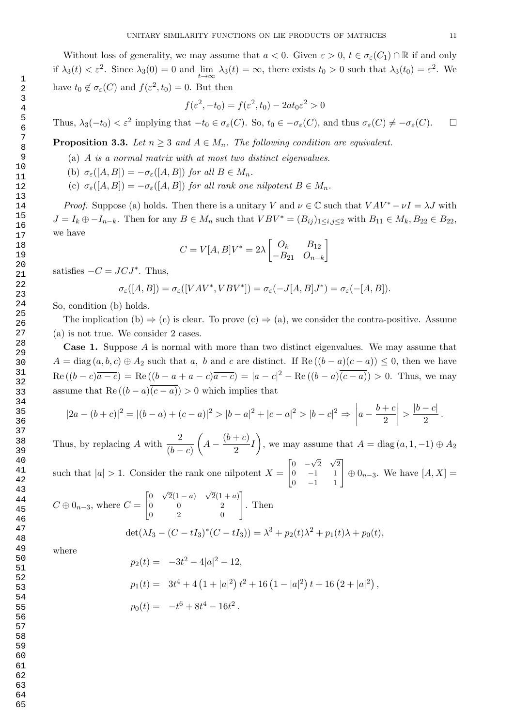Without loss of generality, we may assume that  $a < 0$ . Given  $\varepsilon > 0$ ,  $t \in \sigma_{\varepsilon}(C_1) \cap \mathbb{R}$  if and only if  $\lambda_3(t) < \varepsilon^2$ . Since  $\lambda_3(0) = 0$  and  $\lim_{t \to \infty} \lambda_3(t) = \infty$ , there exists  $t_0 > 0$  such that  $\lambda_3(t_0) = \varepsilon^2$ . We have  $t_0 \notin \sigma_{\varepsilon}(C)$  and  $f(\varepsilon^2, t_0) = 0$ . But then

$$
f(\varepsilon^2, -t_0) = f(\varepsilon^2, t_0) - 2at_0\varepsilon^2 > 0
$$

Thus,  $\lambda_3(-t_0) < \varepsilon^2$  implying that  $-t_0 \in \sigma_{\varepsilon}(C)$ . So,  $t_0 \in -\sigma_{\varepsilon}(C)$ , and thus  $\sigma_{\varepsilon}(C) \neq -\sigma_{\varepsilon}(C)$ .  $\Box$ 

**Proposition 3.3.** Let  $n \geq 3$  and  $A \in M_n$ . The following condition are equivalent.

- (a) A is a normal matrix with at most two distinct eigenvalues.
- (b)  $\sigma_{\varepsilon}([A, B]) = -\sigma_{\varepsilon}([A, B])$  for all  $B \in M_n$ .
- (c)  $\sigma_{\varepsilon}([A, B]) = -\sigma_{\varepsilon}([A, B])$  for all rank one nilpotent  $B \in M_n$ .

*Proof.* Suppose (a) holds. Then there is a unitary V and  $\nu \in \mathbb{C}$  such that  $VAV^* - \nu I = \lambda J$  with  $J = I_k \oplus -I_{n-k}$ . Then for any  $B \in M_n$  such that  $VBV^* = (B_{ij})_{1 \le i,j \le 2}$  with  $B_{11} \in M_k, B_{22} \in B_{22}$ , we have

$$
C = V[A, B]V^* = 2\lambda \begin{bmatrix} O_k & B_{12} \\ -B_{21} & O_{n-k} \end{bmatrix}
$$

satisfies  $-C = JCJ^*$ . Thus,

$$
\sigma_{\varepsilon}([A, B]) = \sigma_{\varepsilon}([VAV^*, VBV^*]) = \sigma_{\varepsilon}(-J[A, B]J^*) = \sigma_{\varepsilon}(-[A, B]).
$$

So, condition (b) holds.

The implication (b)  $\Rightarrow$  (c) is clear. To prove (c)  $\Rightarrow$  (a), we consider the contra-positive. Assume (a) is not true. We consider 2 cases.

Case 1. Suppose A is normal with more than two distinct eigenvalues. We may assume that  $A = \text{diag}(a, b, c) \oplus A_2$  such that a, b and c are distinct. If  $\text{Re}((b - a)(c - a)) \leq 0$ , then we have  $\text{Re}\left((b-c)\overline{a-c}\right) = \text{Re}\left((b-a+a-c)\overline{a-c}\right) = |a-c|^2 - \text{Re}\left((b-a)\overline{(c-a)}\right) > 0.$  Thus, we may assume that Re  $((b - a)\overline{(c - a)}) > 0$  which implies that

$$
|2a - (b + c)|^2 = |(b - a) + (c - a)|^2 > |b - a|^2 + |c - a|^2 > |b - c|^2 \Rightarrow \left|a - \frac{b + c}{2}\right| > \frac{|b - c|}{2}.
$$

Thus, by replacing A with  $\frac{2}{(b-c)}$  $\int A - \frac{(b+c)}{2}$  $\left(\frac{+c}{2}\right)I$ , we may assume that  $A = \text{diag}(a, 1, -1) \oplus A_2$  $\begin{bmatrix} 0 & -\sqrt{2} & \sqrt{2} \end{bmatrix}$ 

such that  $|a| > 1$ . Consider the rank one nilpotent  $X =$ 0 −1 1  $\begin{bmatrix} 0 & -\sqrt{2} & \sqrt{2} \\ 0 & -1 & 1 \\ 0 & -1 & 1 \end{bmatrix}$  $\oplus$  0<sub>n−3</sub>. We have [A, X] = √ √

$$
C \oplus 0_{n-3}, \text{ where } C = \begin{bmatrix} 0 & \sqrt{2}(1-a) & \sqrt{2}(1+a) \\ 0 & 0 & 2 \\ 0 & 2 & 0 \end{bmatrix}. \text{ Then}
$$

$$
\det(\lambda I_3 - (C - tI_3)^*(C - tI_3)) = \lambda^3 + p_2(t)\lambda^2 + p_1(t)\lambda + p_0(t),
$$

where

$$
p_2(t) = -3t^2 - 4|a|^2 - 12,
$$
  
\n
$$
p_1(t) = 3t^4 + 4(1+|a|^2) t^2 + 16(1-|a|^2) t + 16(2+|a|^2),
$$
  
\n
$$
p_0(t) = -t^6 + 8t^4 - 16t^2.
$$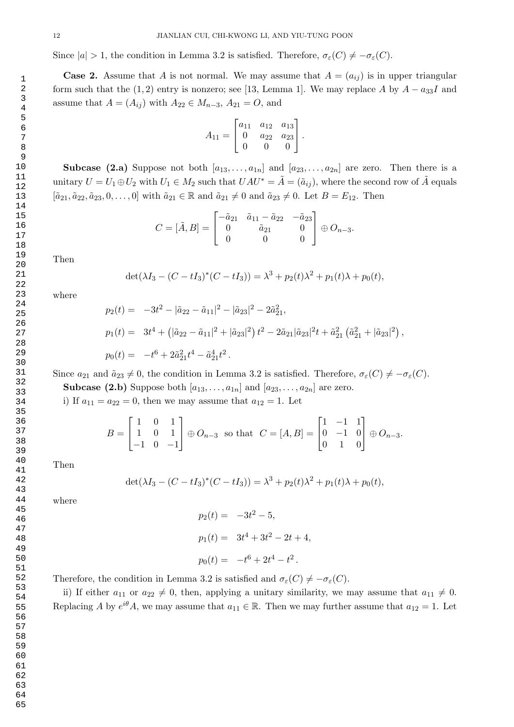Since  $|a| > 1$ , the condition in Lemma 3.2 is satisfied. Therefore,  $\sigma_{\varepsilon}(C) \neq -\sigma_{\varepsilon}(C)$ .

**Case 2.** Assume that A is not normal. We may assume that  $A = (a_{ij})$  is in upper triangular form such that the (1, 2) entry is nonzero; see [13, Lemma 1]. We may replace A by  $A - a_{33}I$  and assume that  $A = (A_{ij})$  with  $A_{22} \in M_{n-3}$ ,  $A_{21} = O$ , and

$$
A_{11} = \begin{bmatrix} a_{11} & a_{12} & a_{13} \\ 0 & a_{22} & a_{23} \\ 0 & 0 & 0 \end{bmatrix}.
$$

**Subcase (2.a)** Suppose not both  $[a_{13}, \ldots, a_{1n}]$  and  $[a_{23}, \ldots, a_{2n}]$  are zero. Then there is a unitary  $U = U_1 \oplus U_2$  with  $U_1 \in M_2$  such that  $UAU^* = \tilde{A} = (\tilde{a}_{ij})$ , where the second row of  $\tilde{A}$  equals  $[\tilde{a}_{21}, \tilde{a}_{22}, \tilde{a}_{23}, 0, \ldots, 0]$  with  $\tilde{a}_{21} \in \mathbb{R}$  and  $\tilde{a}_{21} \neq 0$  and  $\tilde{a}_{23} \neq 0$ . Let  $B = E_{12}$ . Then

$$
C = [\tilde{A}, B] = \begin{bmatrix} -\tilde{a}_{21} & \tilde{a}_{11} - \tilde{a}_{22} & -\tilde{a}_{23} \\ 0 & \tilde{a}_{21} & 0 \\ 0 & 0 & 0 \end{bmatrix} \oplus O_{n-3}.
$$

Then

$$
\det(\lambda I_3 - (C - tI_3)^*(C - tI_3)) = \lambda^3 + p_2(t)\lambda^2 + p_1(t)\lambda + p_0(t),
$$

where

$$
p_2(t) = -3t^2 - |\tilde{a}_{22} - \tilde{a}_{11}|^2 - |\tilde{a}_{23}|^2 - 2\tilde{a}_{21}^2,
$$
  
\n
$$
p_1(t) = 3t^4 + (|\tilde{a}_{22} - \tilde{a}_{11}|^2 + |\tilde{a}_{23}|^2) t^2 - 2\tilde{a}_{21} |\tilde{a}_{23}|^2 t + \tilde{a}_{21}^2 (\tilde{a}_{21}^2 + |\tilde{a}_{23}|^2),
$$
  
\n
$$
p_0(t) = -t^6 + 2\tilde{a}_{21}^2 t^4 - \tilde{a}_{21}^4 t^2.
$$

Since  $a_{21}$  and  $\tilde{a}_{23} \neq 0$ , the condition in Lemma 3.2 is satisfied. Therefore,  $\sigma_{\varepsilon}(C) \neq -\sigma_{\varepsilon}(C)$ .

**Subcase (2.b)** Suppose both  $[a_{13}, \ldots, a_{1n}]$  and  $[a_{23}, \ldots, a_{2n}]$  are zero.

i) If  $a_{11} = a_{22} = 0$ , then we may assume that  $a_{12} = 1$ . Let

$$
B = \begin{bmatrix} 1 & 0 & 1 \\ 1 & 0 & 1 \\ -1 & 0 & -1 \end{bmatrix} \oplus O_{n-3} \text{ so that } C = [A, B] = \begin{bmatrix} 1 & -1 & 1 \\ 0 & -1 & 0 \\ 0 & 1 & 0 \end{bmatrix} \oplus O_{n-3}.
$$

Then

$$
\det(\lambda I_3 - (C - tI_3)^*(C - tI_3)) = \lambda^3 + p_2(t)\lambda^2 + p_1(t)\lambda + p_0(t),
$$

where

$$
p_2(t) = -3t^2 - 5,
$$
  
\n
$$
p_1(t) = 3t^4 + 3t^2 - 2t + 4,
$$
  
\n
$$
p_0(t) = -t^6 + 2t^4 - t^2.
$$

Therefore, the condition in Lemma 3.2 is satisfied and  $\sigma_{\varepsilon}(C) \neq -\sigma_{\varepsilon}(C)$ .

ii) If either  $a_{11}$  or  $a_{22} \neq 0$ , then, applying a unitary similarity, we may assume that  $a_{11} \neq 0$ . Replacing A by  $e^{i\theta}A$ , we may assume that  $a_{11} \in \mathbb{R}$ . Then we may further assume that  $a_{12} = 1$ . Let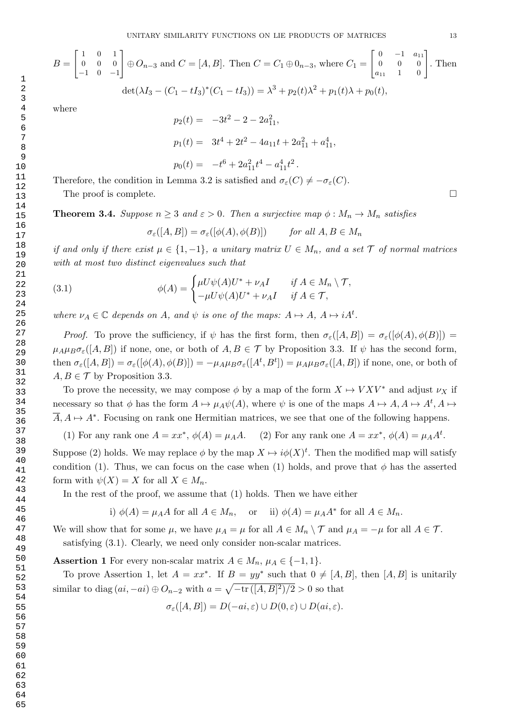$$
B = \begin{bmatrix} 1 & 0 & 1 \\ 0 & 0 & 0 \\ -1 & 0 & -1 \end{bmatrix} \oplus O_{n-3} \text{ and } C = [A, B]. \text{ Then } C = C_1 \oplus 0_{n-3}, \text{ where } C_1 = \begin{bmatrix} 0 & -1 & a_{11} \\ 0 & 0 & 0 \\ a_{11} & 1 & 0 \end{bmatrix}. \text{ Then}
$$

$$
\det(\lambda I_3 - (C_1 - tI_3)^*(C_1 - tI_3)) = \lambda^3 + p_2(t)\lambda^2 + p_1(t)\lambda + p_0(t),
$$
where
$$
p_2(t) = -3t^2 - 2 - 2a_{11}^2,
$$

$$
p_1(t) = 3t^4 + 2t^2 - 4a_{11}t + 2a_{11}^2 + a_{11}^4,
$$

Therefore, the condition in Lemma 3.2 is satisfied and  $\sigma_{\varepsilon}(C) \neq -\sigma_{\varepsilon}(C)$ .

The proof is complete.  $\Box$ 

**Theorem 3.4.** Suppose  $n \geq 3$  and  $\varepsilon > 0$ . Then a surjective map  $\phi : M_n \to M_n$  satisfies

 $p_0(t) = -t^6 + 2a_{11}^2t^4 - a_{11}^4t^2$ .

$$
\sigma_{\varepsilon}([A, B]) = \sigma_{\varepsilon}([\phi(A), \phi(B)]) \quad \text{for all } A, B \in M_n
$$

if and only if there exist  $\mu \in \{1, -1\}$ , a unitary matrix  $U \in M_n$ , and a set  $\mathcal T$  of normal matrices with at most two distinct eigenvalues such that

(3.1) 
$$
\phi(A) = \begin{cases} \mu U \psi(A) U^* + \nu_A I & \text{if } A \in M_n \setminus \mathcal{T}, \\ -\mu U \psi(A) U^* + \nu_A I & \text{if } A \in \mathcal{T}, \end{cases}
$$

where  $\nu_A \in \mathbb{C}$  depends on A, and  $\psi$  is one of the maps:  $A \mapsto A$ ,  $A \mapsto iA^t$ .

Proof. To prove the sufficiency, if  $\psi$  has the first form, then  $\sigma_{\varepsilon}([A, B]) = \sigma_{\varepsilon}([\phi(A), \phi(B)])$  $\mu_A\mu_B\sigma_{\varepsilon}([A, B])$  if none, one, or both of  $A, B \in \mathcal{T}$  by Proposition 3.3. If  $\psi$  has the second form, then  $\sigma_{\varepsilon}([A, B]) = \sigma_{\varepsilon}([\phi(A), \phi(B)]) = -\mu_A \mu_B \sigma_{\varepsilon}([A^t, B^t]) = \mu_A \mu_B \sigma_{\varepsilon}([A, B])$  if none, one, or both of  $A, B \in \mathcal{T}$  by Proposition 3.3.

To prove the necessity, we may compose  $\phi$  by a map of the form  $X \mapsto V X V^*$  and adjust  $\nu_X$  if necessary so that  $\phi$  has the form  $A \mapsto \mu_A \psi(A)$ , where  $\psi$  is one of the maps  $A \mapsto A, A \mapsto A^t, A \mapsto$  $\overline{A}, A \mapsto A^*$ . Focusing on rank one Hermitian matrices, we see that one of the following happens.

(1) For any rank one  $A = xx^*$ ,  $\phi(A) = \mu_A A$ . (2) For any rank one  $A = xx^*$ ,  $\phi(A) = \mu_A A^t$ .

Suppose (2) holds. We may replace  $\phi$  by the map  $X \mapsto i\phi(X)^t$ . Then the modified map will satisfy condition (1). Thus, we can focus on the case when (1) holds, and prove that  $\phi$  has the asserted form with  $\psi(X) = X$  for all  $X \in M_n$ .

In the rest of the proof, we assume that (1) holds. Then we have either

i) 
$$
\phi(A) = \mu_A A
$$
 for all  $A \in M_n$ , or ii)  $\phi(A) = \mu_A A^*$  for all  $A \in M_n$ .

We will show that for some  $\mu$ , we have  $\mu_A = \mu$  for all  $A \in M_n \setminus \mathcal{T}$  and  $\mu_A = -\mu$  for all  $A \in \mathcal{T}$ . satisfying (3.1). Clearly, we need only consider non-scalar matrices.

**Assertion 1** For every non-scalar matrix  $A \in M_n$ ,  $\mu_A \in \{-1, 1\}$ .

To prove Assertion 1, let  $A = xx^*$ . If  $B = yy^*$  such that  $0 \neq [A, B]$ , then  $[A, B]$  is unitarily similar to diag  $(ai, -ai) \oplus O_{n-2}$  with  $a = \sqrt{-\text{tr}([A, B]^2)/2} > 0$  so that

$$
\sigma_{\varepsilon}([A, B]) = D(-ai, \varepsilon) \cup D(0, \varepsilon) \cup D(ai, \varepsilon).
$$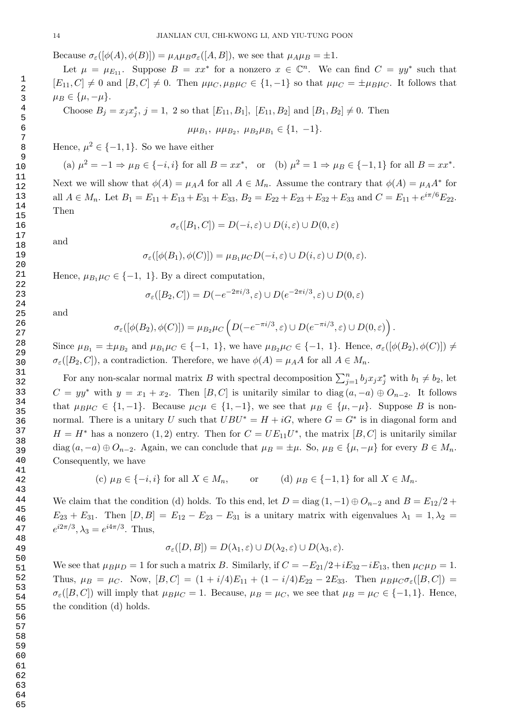Because  $\sigma_{\varepsilon}([\phi(A), \phi(B)]) = \mu_A \mu_B \sigma_{\varepsilon}([A, B])$ , we see that  $\mu_A \mu_B = \pm 1$ .

Let  $\mu = \mu_{E_{11}}$ . Suppose  $B = xx^*$  for a nonzero  $x \in \mathbb{C}^n$ . We can find  $C = yy^*$  such that  $[E_{11}, C] \neq 0$  and  $[B, C] \neq 0$ . Then  $\mu\mu_C, \mu_B\mu_C \in \{1, -1\}$  so that  $\mu\mu_C = \pm \mu_B\mu_C$ . It follows that  $\mu_B \in {\{\mu, -\mu\}}$ .

Choose  $B_j = x_j x_j^*$ ,  $j = 1, 2$  so that  $[E_{11}, B_1]$ ,  $[E_{11}, B_2]$  and  $[B_1, B_2] \neq 0$ . Then

 $\mu\mu_{B_1}, \ \mu\mu_{B_2}, \ \mu_{B_2}\mu_{B_1} \in \{1, -1\}.$ 

Hence,  $\mu^2 \in \{-1, 1\}$ . So we have either

(a) 
$$
\mu^2 = -1 \Rightarrow \mu_B \in \{-i, i\}
$$
 for all  $B = xx^*$ , or (b)  $\mu^2 = 1 \Rightarrow \mu_B \in \{-1, 1\}$  for all  $B = xx^*$ .

Next we will show that  $\phi(A) = \mu_A A$  for all  $A \in M_n$ . Assume the contrary that  $\phi(A) = \mu_A A^*$  for all  $A \in M_n$ . Let  $B_1 = E_{11} + E_{13} + E_{31} + E_{33}$ ,  $B_2 = E_{22} + E_{23} + E_{32} + E_{33}$  and  $C = E_{11} + e^{i\pi/6}E_{22}$ . Then

$$
\sigma_{\varepsilon}([B_1, C]) = D(-i, \varepsilon) \cup D(i, \varepsilon) \cup D(0, \varepsilon)
$$

and

$$
\sigma_{\varepsilon}([\phi(B_1), \phi(C)]) = \mu_{B_1} \mu_C D(-i, \varepsilon) \cup D(i, \varepsilon) \cup D(0, \varepsilon).
$$

Hence,  $\mu_{B_1}\mu_C \in \{-1, 1\}$ . By a direct computation,

$$
\sigma_{\varepsilon}([B_2, C]) = D(-e^{-2\pi i/3}, \varepsilon) \cup D(e^{-2\pi i/3}, \varepsilon) \cup D(0, \varepsilon)
$$

and

$$
\sigma_{\varepsilon}([\phi(B_2), \phi(C)]) = \mu_{B_2} \mu_C \left( D(-e^{-\pi i/3}, \varepsilon) \cup D(e^{-\pi i/3}, \varepsilon) \cup D(0, \varepsilon) \right).
$$

Since  $\mu_{B_1} = \pm \mu_{B_2}$  and  $\mu_{B_1} \mu_C \in \{-1, 1\}$ , we have  $\mu_{B_2} \mu_C \in \{-1, 1\}$ . Hence,  $\sigma_{\varepsilon}([\phi(B_2), \phi(C)]) \neq$  $\sigma_{\varepsilon}([B_2, C])$ , a contradiction. Therefore, we have  $\phi(A) = \mu_A A$  for all  $A \in M_n$ .

For any non-scalar normal matrix B with spectral decomposition  $\sum_{j=1}^{n} b_j x_j x_j^*$  with  $b_1 \neq b_2$ , let  $C = yy^*$  with  $y = x_1 + x_2$ . Then [B, C] is unitarily similar to diag  $(a, -a) \oplus O_{n-2}$ . It follows that  $\mu_B\mu_C \in \{1,-1\}$ . Because  $\mu_C\mu \in \{1,-1\}$ , we see that  $\mu_B \in \{\mu,-\mu\}$ . Suppose B is nonnormal. There is a unitary U such that  $UBU^* = H + iG$ , where  $G = G^*$  is in diagonal form and  $H = H^*$  has a nonzero  $(1, 2)$  entry. Then for  $C = UE_{11}U^*$ , the matrix  $[B, C]$  is unitarily similar diag  $(a, -a) \oplus O_{n-2}$ . Again, we can conclude that  $\mu_B = \pm \mu$ . So,  $\mu_B \in {\mu, -\mu}$  for every  $B \in M_n$ . Consequently, we have

(c)  $\mu_B \in \{-i, i\}$  for all  $X \in M_n$ , or (d)  $\mu_B \in \{-1, 1\}$  for all  $X \in M_n$ .

We claim that the condition (d) holds. To this end, let  $D = diag(1, -1) \oplus O_{n-2}$  and  $B = E_{12}/2 +$  $E_{23} + E_{31}$ . Then  $[D, B] = E_{12} - E_{23} - E_{31}$  is a unitary matrix with eigenvalues  $\lambda_1 = 1, \lambda_2 =$  $e^{i2\pi/3}$ ,  $\lambda_3 = e^{i4\pi/3}$ . Thus,

$$
\sigma_{\varepsilon}([D, B]) = D(\lambda_1, \varepsilon) \cup D(\lambda_2, \varepsilon) \cup D(\lambda_3, \varepsilon).
$$

We see that  $\mu_B\mu_D = 1$  for such a matrix B. Similarly, if  $C = -E_{21}/2 + iE_{32} - iE_{13}$ , then  $\mu_C\mu_D = 1$ . Thus,  $\mu_B = \mu_C$ . Now,  $[B, C] = (1 + i/4)E_{11} + (1 - i/4)E_{22} - 2E_{33}$ . Then  $\mu_B \mu_C \sigma_{\epsilon}([B, C])$  $\sigma_{\varepsilon}([B, C])$  will imply that  $\mu_B\mu_C = 1$ . Because,  $\mu_B = \mu_C$ , we see that  $\mu_B = \mu_C \in \{-1, 1\}$ . Hence, the condition (d) holds.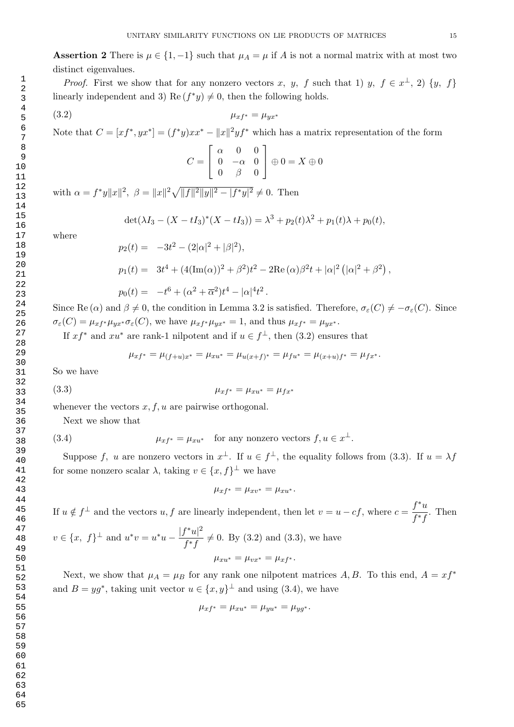Assertion 2 There is  $\mu \in \{1, -1\}$  such that  $\mu_A = \mu$  if A is not a normal matrix with at most two distinct eigenvalues.

*Proof.* First we show that for any nonzero vectors x, y, f such that 1) y,  $f \in x^{\perp}$ , 2)  $\{y, f\}$ linearly independent and 3) Re  $(f^*y) \neq 0$ , then the following holds.

$$
\mu_{xf^*} = \mu_{yx^*}
$$

Note that  $C = [xf^*, yx^*] = (f^*y)xx^* - ||x||^2yf^*$  which has a matrix representation of the form

$$
C = \begin{bmatrix} \alpha & 0 & 0 \\ 0 & -\alpha & 0 \\ 0 & \beta & 0 \end{bmatrix} \oplus 0 = X \oplus 0
$$

with  $\alpha = f^*y||x||^2$ ,  $\beta = ||x||^2\sqrt{||f||^2||y||^2 - |f^*y|^2} \neq 0$ . Then

$$
\det(\lambda I_3 - (X - tI_3)^*(X - tI_3)) = \lambda^3 + p_2(t)\lambda^2 + p_1(t)\lambda + p_0(t),
$$

where

$$
p_2(t) = -3t^2 - (2|\alpha|^2 + |\beta|^2),
$$
  
\n
$$
p_1(t) = 3t^4 + (4(\text{Im}(\alpha))^2 + \beta^2)t^2 - 2\text{Re}(\alpha)\beta^2t + |\alpha|^2(|\alpha|^2 + \beta^2),
$$
  
\n
$$
p_0(t) = -t^6 + (\alpha^2 + \overline{\alpha}^2)t^4 - |\alpha|^4t^2.
$$

Since Re ( $\alpha$ ) and  $\beta \neq 0$ , the condition in Lemma 3.2 is satisfied. Therefore,  $\sigma_{\varepsilon}(C) \neq -\sigma_{\varepsilon}(C)$ . Since  $\sigma_{\varepsilon}(C) = \mu_{xf^*} \mu_{yx^*} \sigma_{\varepsilon}(C)$ , we have  $\mu_{xf^*} \mu_{yx^*} = 1$ , and thus  $\mu_{xf^*} = \mu_{yx^*}$ .

If  $xf^*$  and  $xu^*$  are rank-1 nilpotent and if  $u \in f^{\perp}$ , then (3.2) ensures that

$$
\mu_{xf^*} = \mu_{(f+u)x^*} = \mu_{xu^*} = \mu_{u(x+f)^*} = \mu_{fu^*} = \mu_{(x+u)f^*} = \mu_{fx^*}.
$$

So we have

(3.3) 
$$
\mu_{xf^*} = \mu_{xu^*} = \mu_{fx^*}
$$

whenever the vectors  $x, f, u$  are pairwise orthogonal.

Next we show that

(3.4) 
$$
\mu_{xf^*} = \mu_{xu^*} \quad \text{for any nonzero vectors } f, u \in x^\perp.
$$

Suppose f, u are nonzero vectors in  $x^{\perp}$ . If  $u \in f^{\perp}$ , the equality follows from (3.3). If  $u = \lambda f$ for some nonzero scalar  $\lambda$ , taking  $v \in \{x, f\}^{\perp}$  we have

$$
\mu_{xf^*} = \mu_{xv^*} = \mu_{xu^*}.
$$

If  $u \notin f^{\perp}$  and the vectors  $u, f$  are linearly independent, then let  $v = u - cf$ , where  $c = \frac{f^*u}{f^*g}$  $\frac{f^{*}f}{f^{*}f}$ . Then

 $v \in \{x, f\}^{\perp}$  and  $u^*v = u^*u - \frac{|f^*u|^2}{f^*u}$  $\frac{f^{(n)}(x)}{f^{*}f} \neq 0$ . By (3.2) and (3.3), we have  $\mu_{xu^*} = \mu_{vx^*} = \mu_{xf^*}.$ 

Next, we show that  $\mu_A = \mu_B$  for any rank one nilpotent matrices A, B. To this end,  $A = xf^*$ and  $B = yg^*$ , taking unit vector  $u \in \{x, y\}^{\perp}$  and using (3.4), we have

$$
\mu_{xf^*} = \mu_{xu^*} = \mu_{yu^*} = \mu_{yg^*}.
$$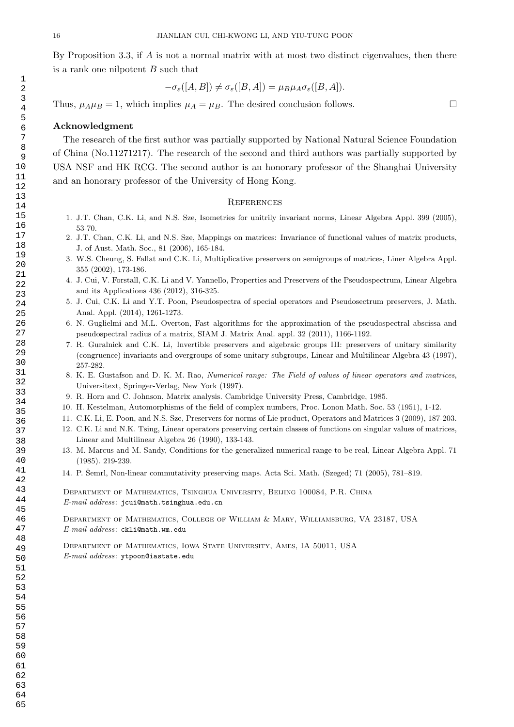By Proposition 3.3, if A is not a normal matrix with at most two distinct eigenvalues, then there is a rank one nilpotent  $B$  such that

$$
-\sigma_{\varepsilon}([A, B]) \neq \sigma_{\varepsilon}([B, A]) = \mu_B \mu_A \sigma_{\varepsilon}([B, A]).
$$

Thus,  $\mu_A \mu_B = 1$ , which implies  $\mu_A = \mu_B$ . The desired conclusion follows.

#### Acknowledgment

The research of the first author was partially supported by National Natural Science Foundation of China (No.11271217). The research of the second and third authors was partially supported by USA NSF and HK RCG. The second author is an honorary professor of the Shanghai University and an honorary professor of the University of Hong Kong.

#### **REFERENCES**

- 1. J.T. Chan, C.K. Li, and N.S. Sze, Isometries for unitrily invariant norms, Linear Algebra Appl. 399 (2005), 53-70.
- 2. J.T. Chan, C.K. Li, and N.S. Sze, Mappings on matrices: Invariance of functional values of matrix products, J. of Aust. Math. Soc., 81 (2006), 165-184.
- 3. W.S. Cheung, S. Fallat and C.K. Li, Multiplicative preservers on semigroups of matrices, Liner Algebra Appl. 355 (2002), 173-186.
- 4. J. Cui, V. Forstall, C.K. Li and V. Yannello, Properties and Preservers of the Pseudospectrum, Linear Algebra and its Applications 436 (2012), 316-325.
- 5. J. Cui, C.K. Li and Y.T. Poon, Pseudospectra of special operators and Pseudosectrum preservers, J. Math. Anal. Appl. (2014), 1261-1273.
- 6. N. Guglielmi and M.L. Overton, Fast algorithms for the approximation of the pseudospectral abscissa and pseudospectral radius of a matrix, SIAM J. Matrix Anal. appl. 32 (2011), 1166-1192.
- 7. R. Guralnick and C.K. Li, Invertible preservers and algebraic groups III: preservers of unitary similarity (congruence) invariants and overgroups of some unitary subgroups, Linear and Multilinear Algebra 43 (1997), 257-282.
- 8. K. E. Gustafson and D. K. M. Rao, Numerical range: The Field of values of linear operators and matrices, Universitext, Springer-Verlag, New York (1997).
- 9. R. Horn and C. Johnson, Matrix analysis. Cambridge University Press, Cambridge, 1985.
- 10. H. Kestelman, Automorphisms of the field of complex numbers, Proc. Lonon Math. Soc. 53 (1951), 1-12.
- 11. C.K. Li, E. Poon, and N.S. Sze, Preservers for norms of Lie product, Operators and Matrices 3 (2009), 187-203.
- 12. C.K. Li and N.K. Tsing, Linear operators preserving certain classes of functions on singular values of matrices, Linear and Multilinear Algebra 26 (1990), 133-143.
- 13. M. Marcus and M. Sandy, Conditions for the generalized numerical range to be real, Linear Algebra Appl. 71 (1985). 219-239.
- 14. P. Semrl, Non-linear commutativity preserving maps. Acta Sci. Math. (Szeged) 71 (2005), 781–819.

Department of Mathematics, Tsinghua University, Beijing 100084, P.R. China E-mail address: jcui@math.tsinghua.edu.cn

Department of Mathematics, College of William & Mary, Williamsburg, VA 23187, USA E-mail address: ckli@math.wm.edu

Department of Mathematics, Iowa State University, Ames, IA 50011, USA  $E$ -mail address: ytpoon@iastate.edu